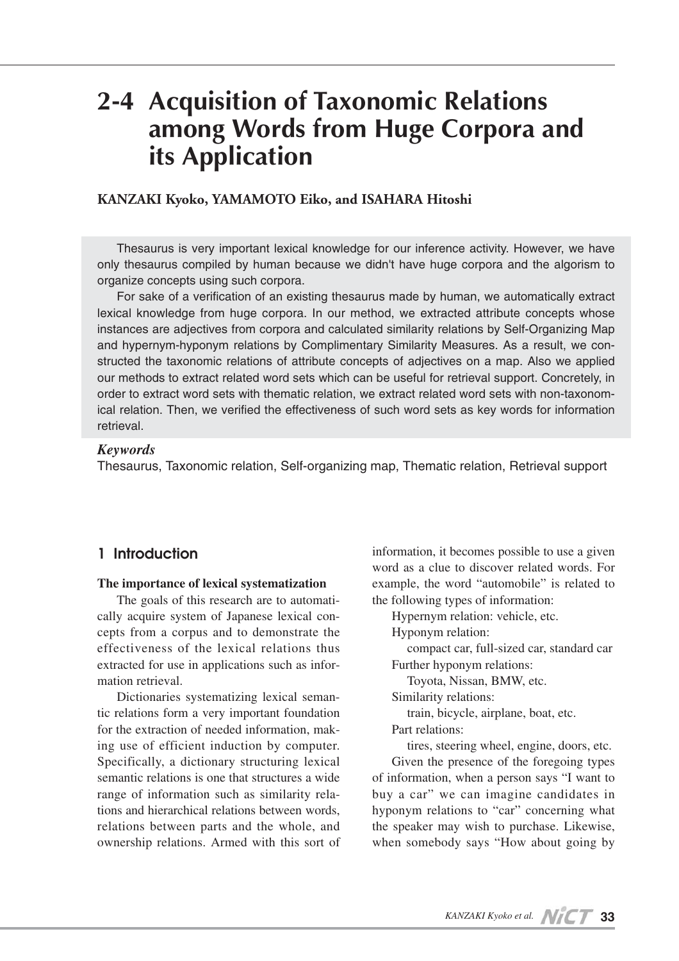# **2-4 Acquisition of Taxonomic Relations among Words from Huge Corpora and its Application**

## **KANZAKI Kyoko, YAMAMOTO Eiko, and ISAHARA Hitoshi**

Thesaurus is very important lexical knowledge for our inference activity. However, we have only thesaurus compiled by human because we didn't have huge corpora and the algorism to organize concepts using such corpora.

For sake of a verification of an existing thesaurus made by human, we automatically extract lexical knowledge from huge corpora. In our method, we extracted attribute concepts whose instances are adjectives from corpora and calculated similarity relations by Self-Organizing Map and hypernym-hyponym relations by Complimentary Similarity Measures. As a result, we constructed the taxonomic relations of attribute concepts of adjectives on a map. Also we applied our methods to extract related word sets which can be useful for retrieval support. Concretely, in order to extract word sets with thematic relation, we extract related word sets with non-taxonomical relation. Then, we verified the effectiveness of such word sets as key words for information retrieval.

## *Keywords*

Thesaurus, Taxonomic relation, Self-organizing map, Thematic relation, Retrieval support

# **1 Introduction**

#### **The importance of lexical systematization**

The goals of this research are to automatically acquire system of Japanese lexical concepts from a corpus and to demonstrate the effectiveness of the lexical relations thus extracted for use in applications such as information retrieval.

Dictionaries systematizing lexical semantic relations form a very important foundation for the extraction of needed information, making use of efficient induction by computer. Specifically, a dictionary structuring lexical semantic relations is one that structures a wide range of information such as similarity relations and hierarchical relations between words, relations between parts and the whole, and ownership relations. Armed with this sort of information, it becomes possible to use a given word as a clue to discover related words. For example, the word "automobile" is related to the following types of information:

Hypernym relation: vehicle, etc.

Hyponym relation:

compact car, full-sized car, standard car Further hyponym relations:

Toyota, Nissan, BMW, etc.

Similarity relations:

train, bicycle, airplane, boat, etc.

Part relations:

tires, steering wheel, engine, doors, etc.

Given the presence of the foregoing types of information, when a person says "I want to buy a car" we can imagine candidates in hyponym relations to "car" concerning what the speaker may wish to purchase. Likewise, when somebody says "How about going by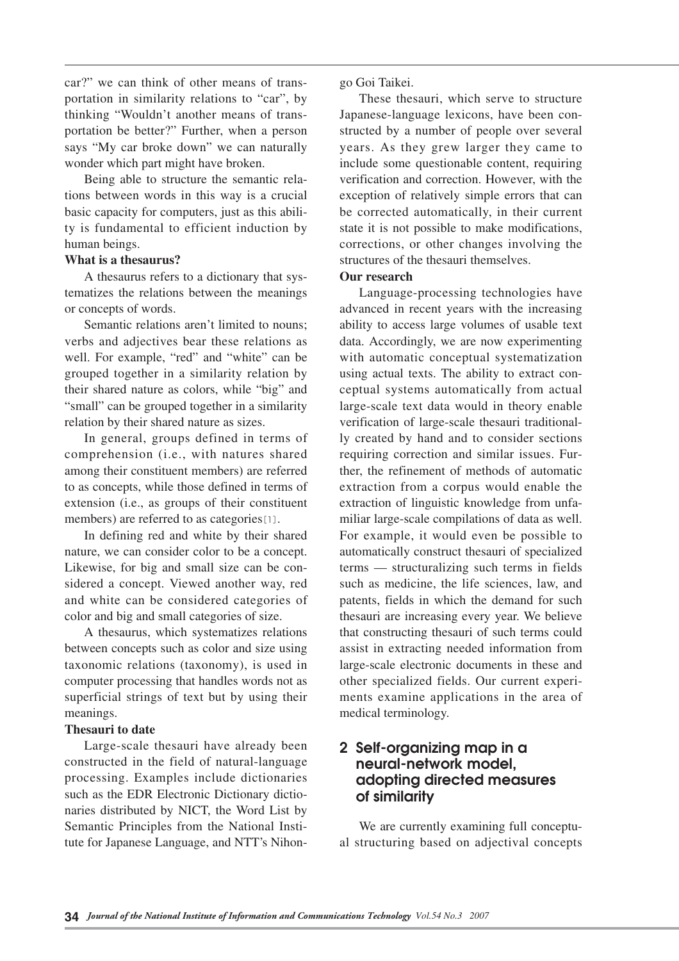car?" we can think of other means of transportation in similarity relations to "car", by thinking "Wouldn't another means of transportation be better?" Further, when a person says "My car broke down" we can naturally wonder which part might have broken.

Being able to structure the semantic relations between words in this way is a crucial basic capacity for computers, just as this ability is fundamental to efficient induction by human beings.

### **What is a thesaurus?**

A thesaurus refers to a dictionary that systematizes the relations between the meanings or concepts of words.

Semantic relations aren't limited to nouns; verbs and adjectives bear these relations as well. For example, "red" and "white" can be grouped together in a similarity relation by their shared nature as colors, while "big" and "small" can be grouped together in a similarity relation by their shared nature as sizes.

In general, groups defined in terms of comprehension (i.e., with natures shared among their constituent members) are referred to as concepts, while those defined in terms of extension (i.e., as groups of their constituent members) are referred to as categories<sup>[1]</sup>.

In defining red and white by their shared nature, we can consider color to be a concept. Likewise, for big and small size can be considered a concept. Viewed another way, red and white can be considered categories of color and big and small categories of size.

A thesaurus, which systematizes relations between concepts such as color and size using taxonomic relations (taxonomy), is used in computer processing that handles words not as superficial strings of text but by using their meanings.

### **Thesauri to date**

Large-scale thesauri have already been constructed in the field of natural-language processing. Examples include dictionaries such as the EDR Electronic Dictionary dictionaries distributed by NICT, the Word List by Semantic Principles from the National Institute for Japanese Language, and NTT's Nihongo Goi Taikei.

These thesauri, which serve to structure Japanese-language lexicons, have been constructed by a number of people over several years. As they grew larger they came to include some questionable content, requiring verification and correction. However, with the exception of relatively simple errors that can be corrected automatically, in their current state it is not possible to make modifications, corrections, or other changes involving the structures of the thesauri themselves.

#### **Our research**

Language-processing technologies have advanced in recent years with the increasing ability to access large volumes of usable text data. Accordingly, we are now experimenting with automatic conceptual systematization using actual texts. The ability to extract conceptual systems automatically from actual large-scale text data would in theory enable verification of large-scale thesauri traditionally created by hand and to consider sections requiring correction and similar issues. Further, the refinement of methods of automatic extraction from a corpus would enable the extraction of linguistic knowledge from unfamiliar large-scale compilations of data as well. For example, it would even be possible to automatically construct thesauri of specialized terms — structuralizing such terms in fields such as medicine, the life sciences, law, and patents, fields in which the demand for such thesauri are increasing every year. We believe that constructing thesauri of such terms could assist in extracting needed information from large-scale electronic documents in these and other specialized fields. Our current experiments examine applications in the area of medical terminology.

# **2 Self-organizing map in a neural-network model, adopting directed measures of similarity**

We are currently examining full conceptual structuring based on adjectival concepts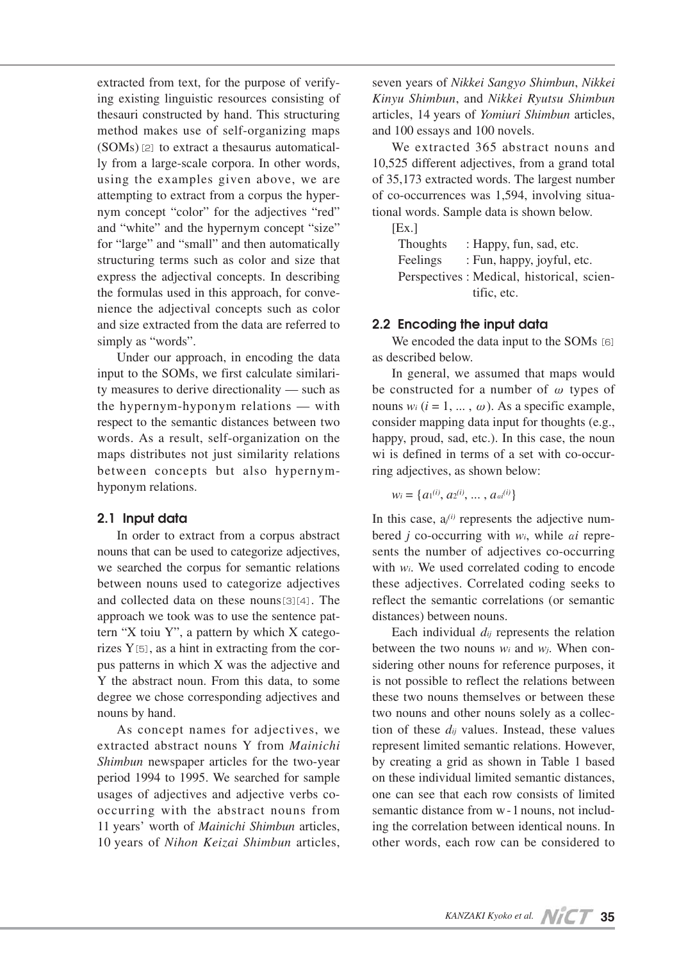extracted from text, for the purpose of verifying existing linguistic resources consisting of thesauri constructed by hand. This structuring method makes use of self-organizing maps  $(SOMs)$  [2] to extract a thesaurus automatically from a large-scale corpora. In other words, using the examples given above, we are attempting to extract from a corpus the hypernym concept "color" for the adjectives "red" and "white" and the hypernym concept "size" for "large" and "small" and then automatically structuring terms such as color and size that express the adjectival concepts. In describing the formulas used in this approach, for convenience the adjectival concepts such as color and size extracted from the data are referred to simply as "words".

Under our approach, in encoding the data input to the SOMs, we first calculate similarity measures to derive directionality — such as the hypernym-hyponym relations — with respect to the semantic distances between two words. As a result, self-organization on the maps distributes not just similarity relations between concepts but also hypernymhyponym relations.

### **2.1 Input data**

In order to extract from a corpus abstract nouns that can be used to categorize adjectives, we searched the corpus for semantic relations between nouns used to categorize adjectives and collected data on these nouns[3][4]. The approach we took was to use the sentence pattern "X toiu Y", a pattern by which X categorizes Y[5], as a hint in extracting from the corpus patterns in which X was the adjective and Y the abstract noun. From this data, to some degree we chose corresponding adjectives and nouns by hand.

As concept names for adjectives, we extracted abstract nouns Y from *Mainichi Shimbun* newspaper articles for the two-year period 1994 to 1995. We searched for sample usages of adjectives and adjective verbs cooccurring with the abstract nouns from 11 years' worth of *Mainichi Shimbun* articles, 10 years of *Nihon Keizai Shimbun* articles, seven years of *Nikkei Sangyo Shimbun*, *Nikkei Kinyu Shimbun*, and *Nikkei Ryutsu Shimbun* articles, 14 years of *Yomiuri Shimbun* articles, and 100 essays and 100 novels.

We extracted 365 abstract nouns and 10,525 different adjectives, from a grand total of 35,173 extracted words. The largest number of co-occurrences was 1,594, involving situational words. Sample data is shown below.

 $[Ex.]$ Thoughts : Happy, fun, sad, etc. Feelings : Fun, happy, joyful, etc. Perspectives : Medical, historical, scientific, etc.

## **2.2 Encoding the input data**

We encoded the data input to the SOMs [6] as described below.

In general, we assumed that maps would be constructed for a number of  $\omega$  types of nouns  $w_i$  ( $i = 1, ..., \omega$ ). As a specific example, consider mapping data input for thoughts (e.g., happy, proud, sad, etc.). In this case, the noun wi is defined in terms of a set with co-occurring adjectives, as shown below:

$$
W_i = \{a_1^{(i)}, a_2^{(i)}, \dots, a_{ai}^{(i)}\}
$$

In this case,  $a_j^{(i)}$  represents the adjective numbered *j* co-occurring with  $w_i$ , while *ai* represents the number of adjectives co-occurring with *wi*. We used correlated coding to encode these adjectives. Correlated coding seeks to reflect the semantic correlations (or semantic distances) between nouns.

Each individual *dij* represents the relation between the two nouns *wi* and *wj*. When considering other nouns for reference purposes, it is not possible to reflect the relations between these two nouns themselves or between these two nouns and other nouns solely as a collection of these *dij* values. Instead, these values represent limited semantic relations. However, by creating a grid as shown in Table 1 based on these individual limited semantic distances, one can see that each row consists of limited semantic distance from w-1 nouns, not including the correlation between identical nouns. In other words, each row can be considered to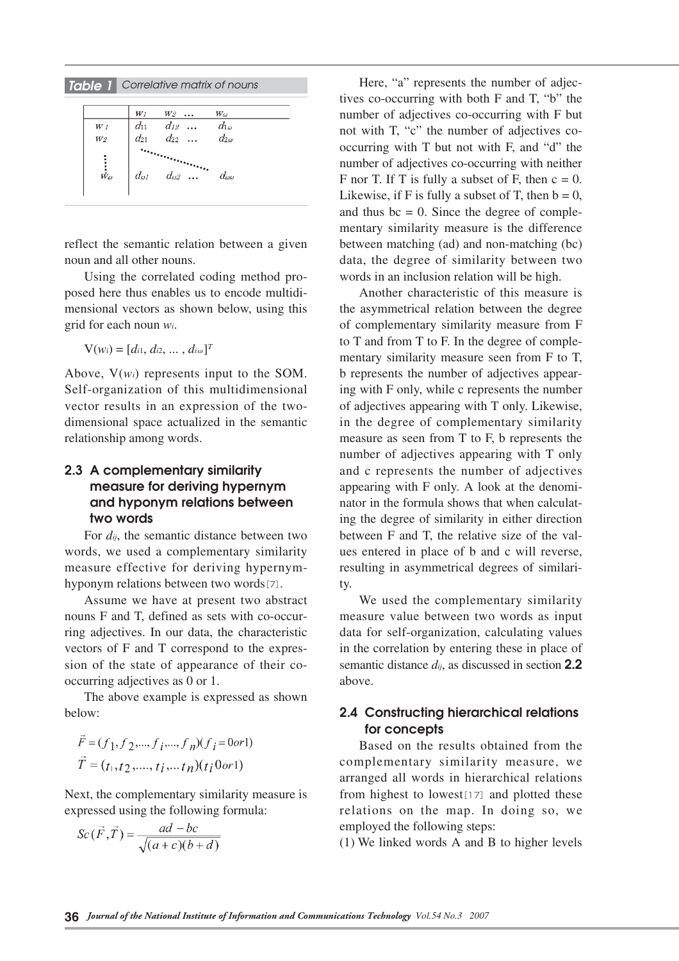*Table 1 Correlative matrix of nouns*

|                              | $W_1$          | W2             | $W_{\omega}$       |
|------------------------------|----------------|----------------|--------------------|
| W <sub>1</sub>               | $d_{11}$       | $d_{12}$       | $d_{1\omega}$      |
| $\frac{1}{W^2}$              | $d_{21}$       | $d_{22}$       | $d_{2\omega}$      |
| $\dot{\dot{\bar{w}}_\omega}$ | $d_{\omega l}$ | $d_{\theta 2}$ | $d_{\omega\omega}$ |

reflect the semantic relation between a given noun and all other nouns.

Using the correlated coding method proposed here thus enables us to encode multidimensional vectors as shown below, using this grid for each noun *wi*.

 $V(w_i) = [d_{i1}, d_{i2}, ..., d_{i\omega}]^T$ 

Above, V(*wi*) represents input to the SOM. Self-organization of this multidimensional vector results in an expression of the twodimensional space actualized in the semantic relationship among words.

## **2.3 A complementary similarity measure for deriving hypernym and hyponym relations between two words**

For *dij*, the semantic distance between two words, we used a complementary similarity measure effective for deriving hypernymhyponym relations between two words[7].

Assume we have at present two abstract nouns F and T, defined as sets with co-occurring adjectives. In our data, the characteristic vectors of F and T correspond to the expression of the state of appearance of their cooccurring adjectives as 0 or 1.

The above example is expressed as shown below:

$$
\vec{F} = (f_1, f_2, \dots, f_i, \dots, f_n)(f_i = 0 \text{ or } 1)
$$

$$
\vec{T} = (t_1, t_2, \dots, t_i, \dots, t_n)(t_i 0 \text{ or } 1)
$$

Next, the complementary similarity measure is expressed using the following formula:

$$
Sc(\vec{F}, \vec{T}) = \frac{ad - bc}{\sqrt{(a+c)(b+d)}}
$$

Here, "a" represents the number of adjectives co-occurring with both F and T, "b" the number of adjectives co-occurring with F but not with T, "c" the number of adjectives cooccurring with T but not with F, and "d" the number of adjectives co-occurring with neither F nor T. If T is fully a subset of F, then  $c = 0$ . Likewise, if F is fully a subset of T, then  $b = 0$ , and thus  $bc = 0$ . Since the degree of complementary similarity measure is the difference between matching (ad) and non-matching (bc) data, the degree of similarity between two words in an inclusion relation will be high.

Another characteristic of this measure is the asymmetrical relation between the degree of complementary similarity measure from F to T and from T to F. In the degree of complementary similarity measure seen from F to T, b represents the number of adjectives appearing with F only, while c represents the number of adjectives appearing with T only. Likewise, in the degree of complementary similarity measure as seen from T to F, b represents the number of adjectives appearing with T only and c represents the number of adjectives appearing with F only. A look at the denominator in the formula shows that when calculating the degree of similarity in either direction between F and T, the relative size of the values entered in place of b and c will reverse, resulting in asymmetrical degrees of similarity.

We used the complementary similarity measure value between two words as input data for self-organization, calculating values in the correlation by entering these in place of semantic distance *dij*, as discussed in section **2.2** above.

# **2.4 Constructing hierarchical relations for concepts**

Based on the results obtained from the complementary similarity measure, we arranged all words in hierarchical relations from highest to lowest $[17]$  and plotted these relations on the map. In doing so, we employed the following steps:

(1) We linked words A and B to higher levels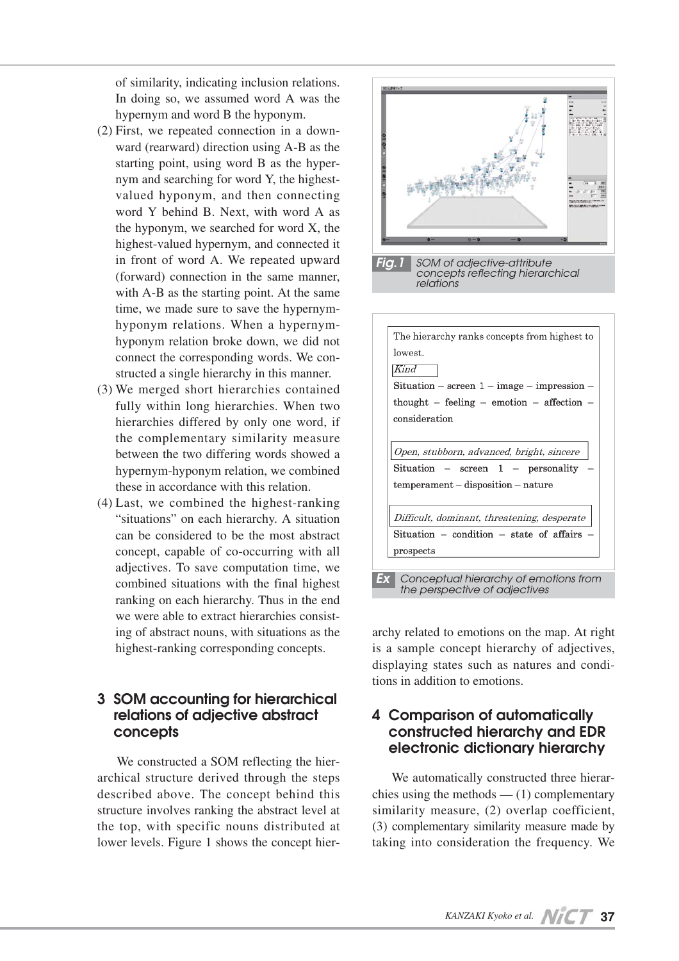of similarity, indicating inclusion relations. In doing so, we assumed word A was the hypernym and word B the hyponym.

- (2) First, we repeated connection in a downward (rearward) direction using A-B as the starting point, using word B as the hypernym and searching for word Y, the highestvalued hyponym, and then connecting word Y behind B. Next, with word A as the hyponym, we searched for word X, the highest-valued hypernym, and connected it in front of word A. We repeated upward (forward) connection in the same manner, with A-B as the starting point. At the same time, we made sure to save the hypernymhyponym relations. When a hypernymhyponym relation broke down, we did not connect the corresponding words. We constructed a single hierarchy in this manner.
- (3) We merged short hierarchies contained fully within long hierarchies. When two hierarchies differed by only one word, if the complementary similarity measure between the two differing words showed a hypernym-hyponym relation, we combined these in accordance with this relation.
- (4) Last, we combined the highest-ranking "situations" on each hierarchy. A situation can be considered to be the most abstract concept, capable of co-occurring with all adjectives. To save computation time, we combined situations with the final highest ranking on each hierarchy. Thus in the end we were able to extract hierarchies consisting of abstract nouns, with situations as the highest-ranking corresponding concepts.

# **3 SOM accounting for hierarchical relations of adjective abstract concepts**

We constructed a SOM reflecting the hierarchical structure derived through the steps described above. The concept behind this structure involves ranking the abstract level at the top, with specific nouns distributed at lower levels. Figure 1 shows the concept hier-





archy related to emotions on the map. At right is a sample concept hierarchy of adjectives, displaying states such as natures and conditions in addition to emotions.

# **4 Comparison of automatically constructed hierarchy and EDR electronic dictionary hierarchy**

We automatically constructed three hierarchies using the methods  $-$  (1) complementary similarity measure, (2) overlap coefficient, (3) complementary similarity measure made by taking into consideration the frequency. We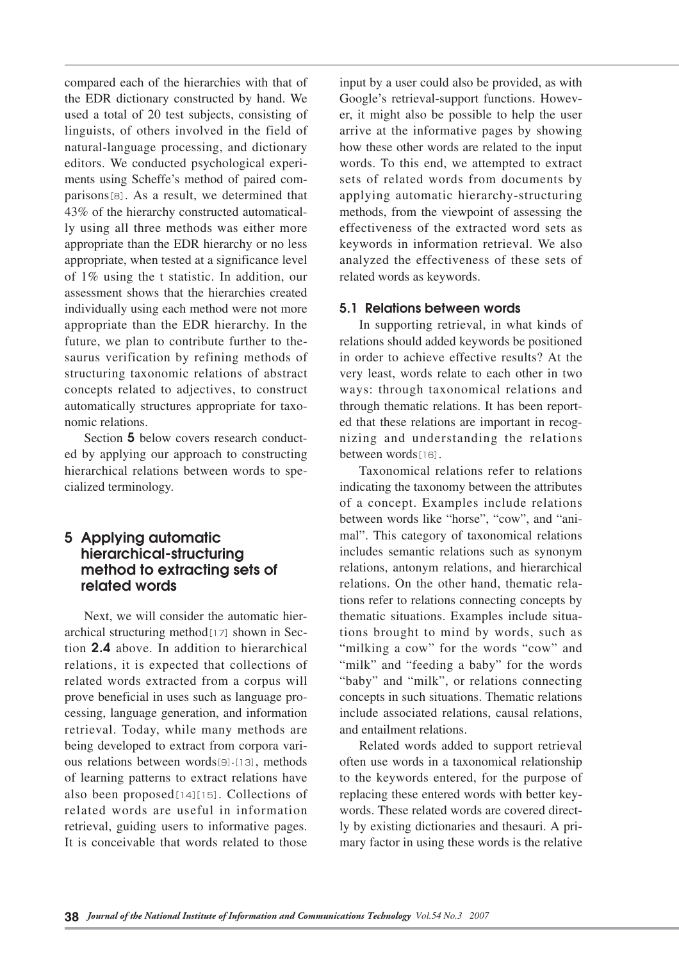compared each of the hierarchies with that of the EDR dictionary constructed by hand. We used a total of 20 test subjects, consisting of linguists, of others involved in the field of natural-language processing, and dictionary editors. We conducted psychological experiments using Scheffe's method of paired comparisons[8]. As a result, we determined that 43% of the hierarchy constructed automatically using all three methods was either more appropriate than the EDR hierarchy or no less appropriate, when tested at a significance level of 1% using the t statistic. In addition, our assessment shows that the hierarchies created individually using each method were not more appropriate than the EDR hierarchy. In the future, we plan to contribute further to thesaurus verification by refining methods of structuring taxonomic relations of abstract concepts related to adjectives, to construct automatically structures appropriate for taxonomic relations.

Section **5** below covers research conducted by applying our approach to constructing hierarchical relations between words to specialized terminology.

# **5 Applying automatic hierarchical-structuring method to extracting sets of related words**

Next, we will consider the automatic hierarchical structuring method $[17]$  shown in Section **2.4** above. In addition to hierarchical relations, it is expected that collections of related words extracted from a corpus will prove beneficial in uses such as language processing, language generation, and information retrieval. Today, while many methods are being developed to extract from corpora various relations between words $[9]$ - $[13]$ , methods of learning patterns to extract relations have also been proposed[14][15]. Collections of related words are useful in information retrieval, guiding users to informative pages. It is conceivable that words related to those

input by a user could also be provided, as with Google's retrieval-support functions. However, it might also be possible to help the user arrive at the informative pages by showing how these other words are related to the input words. To this end, we attempted to extract sets of related words from documents by applying automatic hierarchy-structuring methods, from the viewpoint of assessing the effectiveness of the extracted word sets as keywords in information retrieval. We also analyzed the effectiveness of these sets of related words as keywords.

## **5.1 Relations between words**

In supporting retrieval, in what kinds of relations should added keywords be positioned in order to achieve effective results? At the very least, words relate to each other in two ways: through taxonomical relations and through thematic relations. It has been reported that these relations are important in recognizing and understanding the relations between words[16].

Taxonomical relations refer to relations indicating the taxonomy between the attributes of a concept. Examples include relations between words like "horse", "cow", and "animal". This category of taxonomical relations includes semantic relations such as synonym relations, antonym relations, and hierarchical relations. On the other hand, thematic relations refer to relations connecting concepts by thematic situations. Examples include situations brought to mind by words, such as "milking a cow" for the words "cow" and "milk" and "feeding a baby" for the words "baby" and "milk", or relations connecting concepts in such situations. Thematic relations include associated relations, causal relations, and entailment relations.

Related words added to support retrieval often use words in a taxonomical relationship to the keywords entered, for the purpose of replacing these entered words with better keywords. These related words are covered directly by existing dictionaries and thesauri. A primary factor in using these words is the relative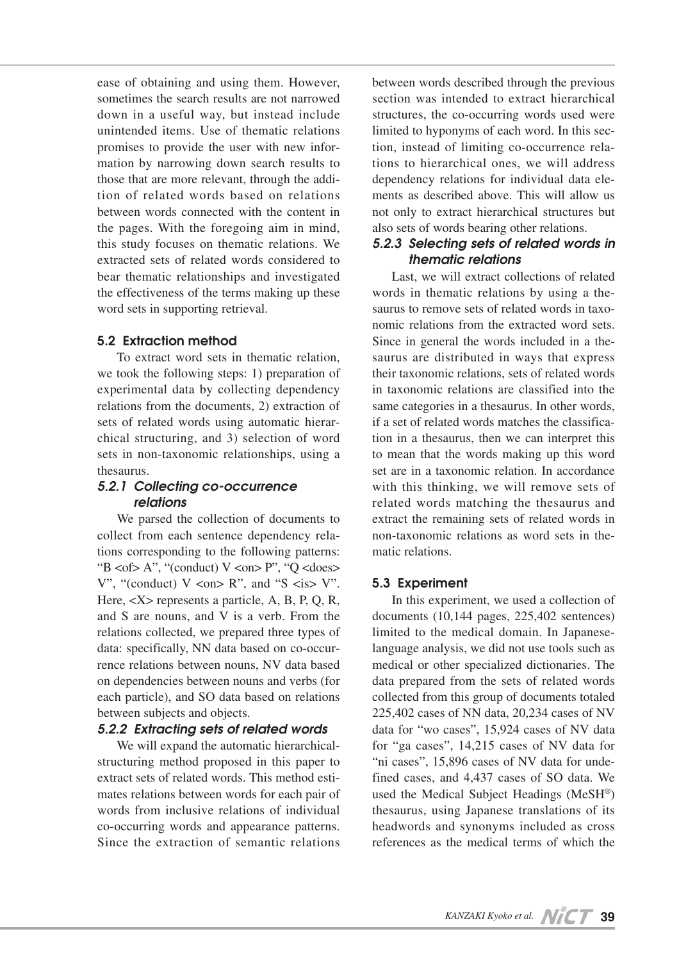ease of obtaining and using them. However, sometimes the search results are not narrowed down in a useful way, but instead include unintended items. Use of thematic relations promises to provide the user with new information by narrowing down search results to those that are more relevant, through the addition of related words based on relations between words connected with the content in the pages. With the foregoing aim in mind, this study focuses on thematic relations. We extracted sets of related words considered to bear thematic relationships and investigated the effectiveness of the terms making up these word sets in supporting retrieval.

## **5.2 Extraction method**

To extract word sets in thematic relation, we took the following steps: 1) preparation of experimental data by collecting dependency relations from the documents, 2) extraction of sets of related words using automatic hierarchical structuring, and 3) selection of word sets in non-taxonomic relationships, using a thesaurus.

## *5.2.1 Collecting co-occurrence relations*

We parsed the collection of documents to collect from each sentence dependency relations corresponding to the following patterns: "B  $<$  of > A", "(conduct) V  $<$  on > P", "Q  $<$  does > V", "(conduct)  $V \leq N$ ", and "S  $\leq$  is  $V$ ". Here,  $\langle X \rangle$  represents a particle, A, B, P, Q, R, and S are nouns, and V is a verb. From the relations collected, we prepared three types of data: specifically, NN data based on co-occurrence relations between nouns, NV data based on dependencies between nouns and verbs (for each particle), and SO data based on relations between subjects and objects.

## *5.2.2 Extracting sets of related words*

We will expand the automatic hierarchicalstructuring method proposed in this paper to extract sets of related words. This method estimates relations between words for each pair of words from inclusive relations of individual co-occurring words and appearance patterns. Since the extraction of semantic relations

between words described through the previous section was intended to extract hierarchical structures, the co-occurring words used were limited to hyponyms of each word. In this section, instead of limiting co-occurrence relations to hierarchical ones, we will address dependency relations for individual data elements as described above. This will allow us not only to extract hierarchical structures but also sets of words bearing other relations.

# *5.2.3 Selecting sets of related words in thematic relations*

Last, we will extract collections of related words in thematic relations by using a thesaurus to remove sets of related words in taxonomic relations from the extracted word sets. Since in general the words included in a thesaurus are distributed in ways that express their taxonomic relations, sets of related words in taxonomic relations are classified into the same categories in a thesaurus. In other words, if a set of related words matches the classification in a thesaurus, then we can interpret this to mean that the words making up this word set are in a taxonomic relation. In accordance with this thinking, we will remove sets of related words matching the thesaurus and extract the remaining sets of related words in non-taxonomic relations as word sets in thematic relations.

## **5.3 Experiment**

In this experiment, we used a collection of documents (10,144 pages, 225,402 sentences) limited to the medical domain. In Japaneselanguage analysis, we did not use tools such as medical or other specialized dictionaries. The data prepared from the sets of related words collected from this group of documents totaled 225,402 cases of NN data, 20,234 cases of NV data for "wo cases", 15,924 cases of NV data for "ga cases", 14,215 cases of NV data for "ni cases", 15,896 cases of NV data for undefined cases, and 4,437 cases of SO data. We used the Medical Subject Headings (MeSH®) thesaurus, using Japanese translations of its headwords and synonyms included as cross references as the medical terms of which the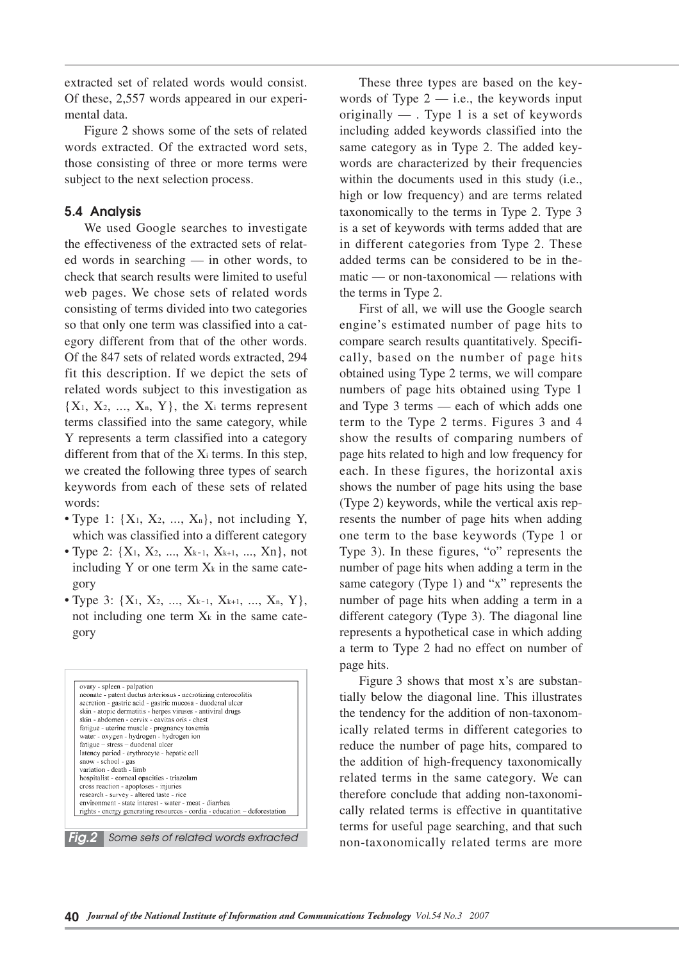extracted set of related words would consist. Of these, 2,557 words appeared in our experimental data.

Figure 2 shows some of the sets of related words extracted. Of the extracted word sets, those consisting of three or more terms were subject to the next selection process.

## **5.4 Analysis**

We used Google searches to investigate the effectiveness of the extracted sets of related words in searching — in other words, to check that search results were limited to useful web pages. We chose sets of related words consisting of terms divided into two categories so that only one term was classified into a category different from that of the other words. Of the 847 sets of related words extracted, 294 fit this description. If we depict the sets of related words subject to this investigation as  ${X_1, X_2, ..., X_n, Y}$ , the X<sub>i</sub> terms represent terms classified into the same category, while Y represents a term classified into a category different from that of the Xi terms. In this step, we created the following three types of search keywords from each of these sets of related words:

- Type 1:  $\{X_1, X_2, ..., X_n\}$ , not including Y, which was classified into a different category
- Type 2:  $\{X_1, X_2, ..., X_{k-1}, X_{k+1}, ..., X_n\}$ , not including Y or one term  $X_k$  in the same category
- Type 3:  $\{X_1, X_2, ..., X_{k-1}, X_{k+1}, ..., X_n, Y\},$ not including one term  $X_k$  in the same category

| ovary - spleen - palpation<br>neonate - patent ductus arteriosus - necrotizing enterocolitis |
|----------------------------------------------------------------------------------------------|
| secretion - gastric acid - gastric mucosa - duodenal ulcer                                   |
| skin - atopic dermatitis - herpes viruses - antiviral drugs                                  |
| skin - abdomen - cervix - cavitas oris - chest                                               |
| fatigue - uterine muscle - pregnancy toxemia                                                 |
| water - oxygen - hydrogen - hydrogen ion                                                     |
| fatigue - stress - duodenal ulcer                                                            |
| latency period - erythrocyte - hepatic cell<br>snow - school - gas                           |
| variation - death - limb                                                                     |
| hospitalist - corneal opacities - triazolam                                                  |
| cross reaction - apoptoses - injuries                                                        |
| research - survey - altered taste - rice                                                     |
| environment - state interest - water - meat - diarrhea                                       |
| rights - energy generating resources - cordia - education - deforestation                    |
|                                                                                              |

These three types are based on the keywords of Type  $2$  — i.e., the keywords input originally — . Type 1 is a set of keywords including added keywords classified into the same category as in Type 2. The added keywords are characterized by their frequencies within the documents used in this study (i.e., high or low frequency) and are terms related taxonomically to the terms in Type 2. Type 3 is a set of keywords with terms added that are in different categories from Type 2. These added terms can be considered to be in thematic — or non-taxonomical — relations with the terms in Type 2.

First of all, we will use the Google search engine's estimated number of page hits to compare search results quantitatively. Specifically, based on the number of page hits obtained using Type 2 terms, we will compare numbers of page hits obtained using Type 1 and Type 3 terms — each of which adds one term to the Type 2 terms. Figures 3 and 4 show the results of comparing numbers of page hits related to high and low frequency for each. In these figures, the horizontal axis shows the number of page hits using the base (Type 2) keywords, while the vertical axis represents the number of page hits when adding one term to the base keywords (Type 1 or Type 3). In these figures, "o" represents the number of page hits when adding a term in the same category (Type 1) and "x" represents the number of page hits when adding a term in a different category (Type 3). The diagonal line represents a hypothetical case in which adding a term to Type 2 had no effect on number of page hits.

Figure 3 shows that most x's are substantially below the diagonal line. This illustrates the tendency for the addition of non-taxonomically related terms in different categories to reduce the number of page hits, compared to the addition of high-frequency taxonomically related terms in the same category. We can therefore conclude that adding non-taxonomically related terms is effective in quantitative terms for useful page searching, and that such non-taxonomically related terms are more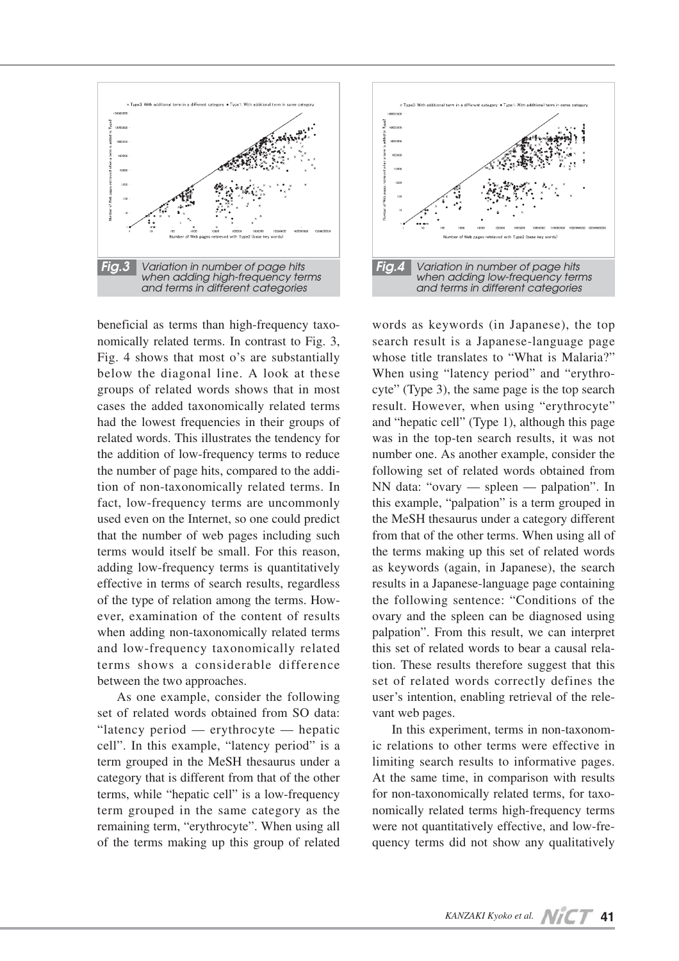

beneficial as terms than high-frequency taxonomically related terms. In contrast to Fig. 3, Fig. 4 shows that most o's are substantially below the diagonal line. A look at these groups of related words shows that in most cases the added taxonomically related terms had the lowest frequencies in their groups of related words. This illustrates the tendency for the addition of low-frequency terms to reduce the number of page hits, compared to the addition of non-taxonomically related terms. In fact, low-frequency terms are uncommonly used even on the Internet, so one could predict that the number of web pages including such terms would itself be small. For this reason, adding low-frequency terms is quantitatively effective in terms of search results, regardless of the type of relation among the terms. However, examination of the content of results when adding non-taxonomically related terms and low-frequency taxonomically related terms shows a considerable difference between the two approaches.

As one example, consider the following set of related words obtained from SO data: "latency period — erythrocyte — hepatic cell". In this example, "latency period" is a term grouped in the MeSH thesaurus under a category that is different from that of the other terms, while "hepatic cell" is a low-frequency term grouped in the same category as the remaining term, "erythrocyte". When using all of the terms making up this group of related



words as keywords (in Japanese), the top search result is a Japanese-language page whose title translates to "What is Malaria?" When using "latency period" and "erythrocyte" (Type 3), the same page is the top search result. However, when using "erythrocyte" and "hepatic cell" (Type 1), although this page was in the top-ten search results, it was not number one. As another example, consider the following set of related words obtained from NN data: "ovary — spleen — palpation". In this example, "palpation" is a term grouped in the MeSH thesaurus under a category different from that of the other terms. When using all of the terms making up this set of related words as keywords (again, in Japanese), the search results in a Japanese-language page containing the following sentence: "Conditions of the ovary and the spleen can be diagnosed using palpation". From this result, we can interpret this set of related words to bear a causal relation. These results therefore suggest that this set of related words correctly defines the user's intention, enabling retrieval of the relevant web pages.

In this experiment, terms in non-taxonomic relations to other terms were effective in limiting search results to informative pages. At the same time, in comparison with results for non-taxonomically related terms, for taxonomically related terms high-frequency terms were not quantitatively effective, and low-frequency terms did not show any qualitatively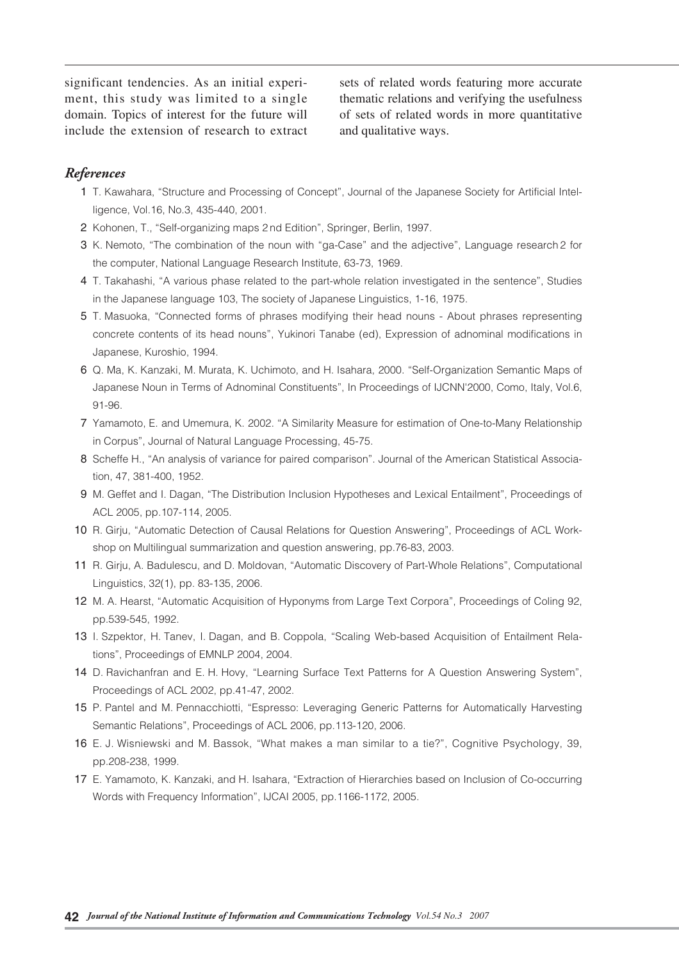significant tendencies. As an initial experiment, this study was limited to a single domain. Topics of interest for the future will include the extension of research to extract sets of related words featuring more accurate thematic relations and verifying the usefulness of sets of related words in more quantitative and qualitative ways.

## *References*

- 1 T. Kawahara, "Structure and Processing of Concept", Journal of the Japanese Society for Artificial Intelligence, Vol.16, No.3, 435-440, 2001.
- 2 Kohonen, T., "Self-organizing maps 2 nd Edition", Springer, Berlin, 1997.
- 03 K. Nemoto, "The combination of the noun with "ga-Case" and the adjective", Language research 2 for the computer, National Language Research Institute, 63-73, 1969.
- 4 T. Takahashi, "A various phase related to the part-whole relation investigated in the sentence", Studies in the Japanese language 103, The society of Japanese Linguistics, 1-16, 1975.
- 05 T. Masuoka, "Connected forms of phrases modifying their head nouns About phrases representing concrete contents of its head nouns", Yukinori Tanabe (ed), Expression of adnominal modifications in Japanese, Kuroshio, 1994.
- 06 Q. Ma, K. Kanzaki, M. Murata, K. Uchimoto, and H. Isahara, 2000. "Self-Organization Semantic Maps of Japanese Noun in Terms of Adnominal Constituents", In Proceedings of IJCNN'2000, Como, Italy, Vol.6, 91-96.
- 7 Yamamoto, E. and Umemura, K. 2002. "A Similarity Measure for estimation of One-to-Many Relationship in Corpus", Journal of Natural Language Processing, 45-75.
- 8 Scheffe H., "An analysis of variance for paired comparison". Journal of the American Statistical Association, 47, 381-400, 1952.
- 09 M. Geffet and I. Dagan, "The Distribution Inclusion Hypotheses and Lexical Entailment", Proceedings of ACL 2005, pp.107-114, 2005.
- 10 R. Girju, "Automatic Detection of Causal Relations for Question Answering", Proceedings of ACL Workshop on Multilingual summarization and question answering, pp.76-83, 2003.
- 11 R. Girju, A. Badulescu, and D. Moldovan, "Automatic Discovery of Part-Whole Relations", Computational Linguistics, 32(1), pp. 83-135, 2006.
- 12 M. A. Hearst, "Automatic Acquisition of Hyponyms from Large Text Corpora", Proceedings of Coling 92, pp.539-545, 1992.
- 13 I. Szpektor, H. Tanev, I. Dagan, and B. Coppola, "Scaling Web-based Acquisition of Entailment Relations", Proceedings of EMNLP 2004, 2004.
- 14 D. Ravichanfran and E. H. Hovy, "Learning Surface Text Patterns for A Question Answering System", Proceedings of ACL 2002, pp.41-47, 2002.
- 15 P. Pantel and M. Pennacchiotti, "Espresso: Leveraging Generic Patterns for Automatically Harvesting Semantic Relations", Proceedings of ACL 2006, pp.113-120, 2006.
- 16 E. J. Wisniewski and M. Bassok, "What makes a man similar to a tie?", Cognitive Psychology, 39, pp.208-238, 1999.
- 17 E. Yamamoto, K. Kanzaki, and H. Isahara, "Extraction of Hierarchies based on Inclusion of Co-occurring Words with Frequency Information", IJCAI 2005, pp.1166-1172, 2005.